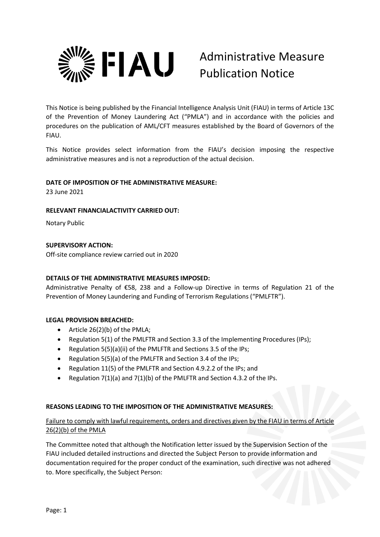

# Administrative Measure Publication Notice

This Notice is being published by the Financial Intelligence Analysis Unit (FIAU) in terms of Article 13C of the Prevention of Money Laundering Act ("PMLA") and in accordance with the policies and procedures on the publication of AML/CFT measures established by the Board of Governors of the FIAU.

This Notice provides select information from the FIAU's decision imposing the respective administrative measures and is not a reproduction of the actual decision.

## **DATE OF IMPOSITION OF THE ADMINISTRATIVE MEASURE:**

23 June 2021

### **RELEVANT FINANCIALACTIVITY CARRIED OUT:**

Notary Public

### **SUPERVISORY ACTION:**

Off-site compliance review carried out in 2020

## **DETAILS OF THE ADMINISTRATIVE MEASURES IMPOSED:**

Administrative Penalty of €58, 238 and a Follow-up Directive in terms of Regulation 21 of the Prevention of Money Laundering and Funding of Terrorism Regulations ("PMLFTR").

#### **LEGAL PROVISION BREACHED:**

- Article 26(2)(b) of the PMLA;
- Regulation 5(1) of the PMLFTR and Section 3.3 of the Implementing Procedures (IPs);
- Regulation 5(5)(a)(ii) of the PMLFTR and Sections 3.5 of the IPs;
- Regulation 5(5)(a) of the PMLFTR and Section 3.4 of the IPs;
- Regulation 11(5) of the PMLFTR and Section 4.9.2.2 of the IPs; and
- Regulation 7(1)(a) and 7(1)(b) of the PMLFTR and Section 4.3.2 of the IPs.

#### **REASONS LEADING TO THE IMPOSITION OF THE ADMINISTRATIVE MEASURES:**

## Failure to comply with lawful requirements, orders and directives given by the FIAU in terms of Article 26(2)(b) of the PMLA

The Committee noted that although the Notification letter issued by the Supervision Section of the FIAU included detailed instructions and directed the Subject Person to provide information and documentation required for the proper conduct of the examination, such directive was not adhered to. More specifically, the Subject Person: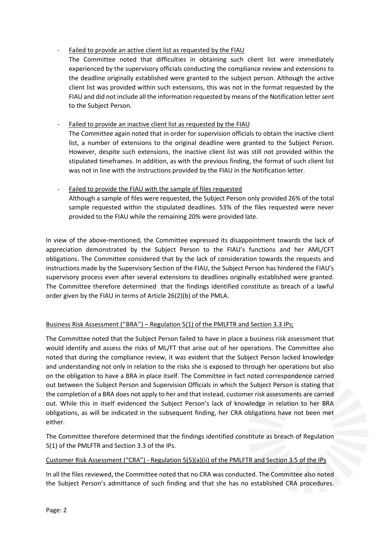## Failed to provide an active client list as requested by the FIAU

The Committee noted that difficulties in obtaining such client list were immediately experienced by the supervisory officials conducting the compliance review and extensions to the deadline originally established were granted to the subject person. Although the active client list was provided within such extensions, this was not in the format requested by the FIAU and did not include all the information requested by means of the Notification letter sent to the Subject Person.

# Failed to provide an inactive client list as requested by the FIAU

The Committee again noted that in order for supervision officials to obtain the inactive client list, a number of extensions to the original deadline were granted to the Subject Person. However, despite such extensions, the inactive client list was still not provided within the stipulated timeframes. In addition, as with the previous finding, the format of such client list was not in line with the instructions provided by the FIAU in the Notification letter.

# Failed to provide the FIAU with the sample of files requested Although a sample of files were requested, the Subject Person only provided 26% of the total sample requested within the stipulated deadlines. 53% of the files requested were never provided to the FIAU while the remaining 20% were provided late.

In view of the above-mentioned, the Committee expressed its disappointment towards the lack of appreciation demonstrated by the Subject Person to the FIAU's functions and her AML/CFT obligations. The Committee considered that by the lack of consideration towards the requests and instructions made by the Supervisory Section of the FIAU, the Subject Person has hindered the FIAU's supervisory process even after several extensions to deadlines originally established were granted. The Committee therefore determined that the findings identified constitute as breach of a lawful order given by the FIAU in terms of Article 26(2)(b) of the PMLA.

# Business Risk Assessment (''BRA'') – Regulation 5(1) of the PMLFTR and Section 3.3 IPs;

The Committee noted that the Subject Person failed to have in place a business risk assessment that would identify and assess the risks of ML/FT that arise out of her operations. The Committee also noted that during the compliance review, it was evident that the Subject Person lacked knowledge and understanding not only in relation to the risks she is exposed to through her operations but also on the obligation to have a BRA in place itself. The Committee in fact noted correspondence carried out between the Subject Person and Supervision Officials in which the Subject Person is stating that the completion of a BRA does not apply to her and that instead, customer risk assessments are carried out. While this in itself evidenced the Subject Person's lack of knowledge in relation to her BRA obligations, as will be indicated in the subsequent finding, her CRA obligations have not been met either.

The Committee therefore determined that the findings identified constitute as breach of Regulation 5(1) of the PMLFTR and Section 3.3 of the IPs.

## Customer Risk Assessment ("CRA") - Regulation 5(5)(a)(ii) of the PMLFTR and Section 3.5 of the IPs

In all the files reviewed, the Committee noted that no CRA was conducted. The Committee also noted the Subject Person's admittance of such finding and that she has no established CRA procedures.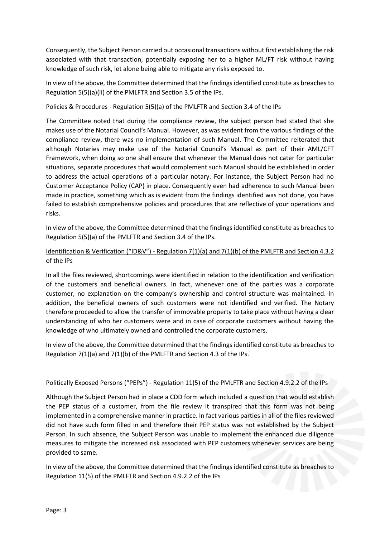Consequently, the Subject Person carried out occasional transactions without first establishing the risk associated with that transaction, potentially exposing her to a higher ML/FT risk without having knowledge of such risk, let alone being able to mitigate any risks exposed to.

In view of the above, the Committee determined that the findings identified constitute as breaches to Regulation 5(5)(a)(ii) of the PMLFTR and Section 3.5 of the IPs.

### Policies & Procedures - Regulation 5(5)(a) of the PMLFTR and Section 3.4 of the IPs

The Committee noted that during the compliance review, the subject person had stated that she makes use of the Notarial Council's Manual. However, as was evident from the various findings of the compliance review, there was no implementation of such Manual. The Committee reiterated that although Notaries may make use of the Notarial Council's Manual as part of their AML/CFT Framework, when doing so one shall ensure that whenever the Manual does not cater for particular situations, separate procedures that would complement such Manual should be established in order to address the actual operations of a particular notary. For instance, the Subject Person had no Customer Acceptance Policy (CAP) in place. Consequently even had adherence to such Manual been made in practice, something which as is evident from the findings identified was not done, you have failed to establish comprehensive policies and procedures that are reflective of your operations and risks.

In view of the above, the Committee determined that the findings identified constitute as breaches to Regulation 5(5)(a) of the PMLFTR and Section 3.4 of the IPs.

# Identification & Verification ("ID&V") - Regulation 7(1)(a) and 7(1)(b) of the PMLFTR and Section 4.3.2 of the IPs

In all the files reviewed, shortcomings were identified in relation to the identification and verification of the customers and beneficial owners. In fact, whenever one of the parties was a corporate customer, no explanation on the company's ownership and control structure was maintained. In addition, the beneficial owners of such customers were not identified and verified. The Notary therefore proceeded to allow the transfer of immovable property to take place without having a clear understanding of who her customers were and in case of corporate customers without having the knowledge of who ultimately owned and controlled the corporate customers.

In view of the above, the Committee determined that the findings identified constitute as breaches to Regulation 7(1)(a) and 7(1)(b) of the PMLFTR and Section 4.3 of the IPs.

## Politically Exposed Persons ("PEPs") - Regulation 11(5) of the PMLFTR and Section 4.9.2.2 of the IPs

Although the Subject Person had in place a CDD form which included a question that would establish the PEP status of a customer, from the file review it transpired that this form was not being implemented in a comprehensive manner in practice. In fact various parties in all of the files reviewed did not have such form filled in and therefore their PEP status was not established by the Subject Person. In such absence, the Subject Person was unable to implement the enhanced due diligence measures to mitigate the increased risk associated with PEP customers whenever services are being provided to same.

In view of the above, the Committee determined that the findings identified constitute as breaches to Regulation 11(5) of the PMLFTR and Section 4.9.2.2 of the IPs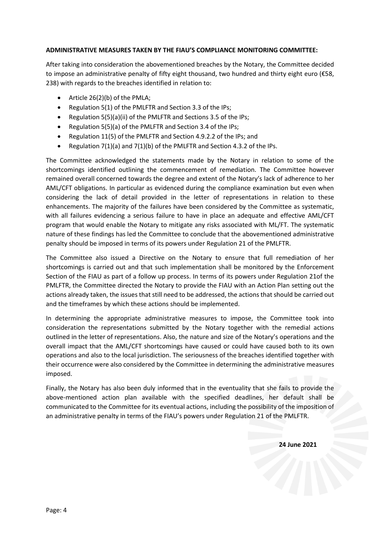#### **ADMINISTRATIVE MEASURES TAKEN BY THE FIAU'S COMPLIANCE MONITORING COMMITTEE:**

After taking into consideration the abovementioned breaches by the Notary, the Committee decided to impose an administrative penalty of fifty eight thousand, two hundred and thirty eight euro (€58, 238) with regards to the breaches identified in relation to:

- Article 26(2)(b) of the PMLA;
- Regulation 5(1) of the PMLFTR and Section 3.3 of the IPs;
- Regulation 5(5)(a)(ii) of the PMLFTR and Sections 3.5 of the IPs;
- Regulation 5(5)(a) of the PMLFTR and Section 3.4 of the IPs;
- Regulation 11(5) of the PMLFTR and Section 4.9.2.2 of the IPs; and
- Regulation 7(1)(a) and 7(1)(b) of the PMLFTR and Section 4.3.2 of the IPs.

The Committee acknowledged the statements made by the Notary in relation to some of the shortcomings identified outlining the commencement of remediation. The Committee however remained overall concerned towards the degree and extent of the Notary's lack of adherence to her AML/CFT obligations. In particular as evidenced during the compliance examination but even when considering the lack of detail provided in the letter of representations in relation to these enhancements. The majority of the failures have been considered by the Committee as systematic, with all failures evidencing a serious failure to have in place an adequate and effective AML/CFT program that would enable the Notary to mitigate any risks associated with ML/FT. The systematic nature of these findings has led the Committee to conclude that the abovementioned administrative penalty should be imposed in terms of its powers under Regulation 21 of the PMLFTR.

The Committee also issued a Directive on the Notary to ensure that full remediation of her shortcomings is carried out and that such implementation shall be monitored by the Enforcement Section of the FIAU as part of a follow up process. In terms of its powers under Regulation 21of the PMLFTR, the Committee directed the Notary to provide the FIAU with an Action Plan setting out the actions already taken, the issues that still need to be addressed, the actions that should be carried out and the timeframes by which these actions should be implemented.

In determining the appropriate administrative measures to impose, the Committee took into consideration the representations submitted by the Notary together with the remedial actions outlined in the letter of representations. Also, the nature and size of the Notary's operations and the overall impact that the AML/CFT shortcomings have caused or could have caused both to its own operations and also to the local jurisdiction. The seriousness of the breaches identified together with their occurrence were also considered by the Committee in determining the administrative measures imposed.

Finally, the Notary has also been duly informed that in the eventuality that she fails to provide the above-mentioned action plan available with the specified deadlines, her default shall be communicated to the Committee for its eventual actions, including the possibility of the imposition of an administrative penalty in terms of the FIAU's powers under Regulation 21 of the PMLFTR.

 **24 June 2021**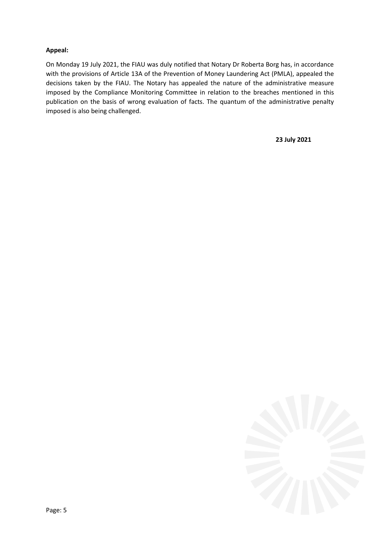## **Appeal:**

On Monday 19 July 2021, the FIAU was duly notified that Notary Dr Roberta Borg has, in accordance with the provisions of Article 13A of the Prevention of Money Laundering Act (PMLA), appealed the decisions taken by the FIAU. The Notary has appealed the nature of the administrative measure imposed by the Compliance Monitoring Committee in relation to the breaches mentioned in this publication on the basis of wrong evaluation of facts. The quantum of the administrative penalty imposed is also being challenged.

**23 July 2021**